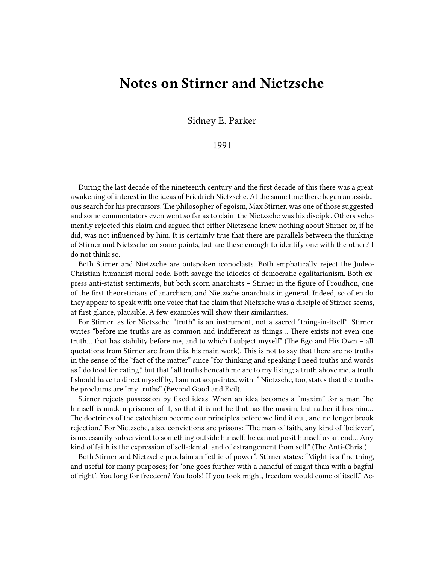## **Notes on Stirner and Nietzsche**

Sidney E. Parker

## 1991

During the last decade of the nineteenth century and the first decade of this there was a great awakening of interest in the ideas of Friedrich Nietzsche. At the same time there began an assiduous search for his precursors. The philosopher of egoism, Max Stirner, was one of those suggested and some commentators even went so far as to claim the Nietzsche was his disciple. Others vehemently rejected this claim and argued that either Nietzsche knew nothing about Stirner or, if he did, was not influenced by him. It is certainly true that there are parallels between the thinking of Stirner and Nietzsche on some points, but are these enough to identify one with the other? I do not think so.

Both Stirner and Nietzsche are outspoken iconoclasts. Both emphatically reject the Judeo-Christian-humanist moral code. Both savage the idiocies of democratic egalitarianism. Both express anti-statist sentiments, but both scorn anarchists – Stirner in the figure of Proudhon, one of the first theoreticians of anarchism, and Nietzsche anarchists in general. Indeed, so often do they appear to speak with one voice that the claim that Nietzsche was a disciple of Stirner seems, at first glance, plausible. A few examples will show their similarities.

For Stirner, as for Nietzsche, "truth" is an instrument, not a sacred "thing-in-itself". Stirner writes "before me truths are as common and indifferent as things… There exists not even one truth… that has stability before me, and to which I subject myself" (The Ego and His Own – all quotations from Stirner are from this, his main work). This is not to say that there are no truths in the sense of the "fact of the matter" since "for thinking and speaking I need truths and words as I do food for eating," but that "all truths beneath me are to my liking; a truth above me, a truth I should have to direct myself by, I am not acquainted with. " Nietzsche, too, states that the truths he proclaims are "my truths" (Beyond Good and Evil).

Stirner rejects possession by fixed ideas. When an idea becomes a "maxim" for a man "he himself is made a prisoner of it, so that it is not he that has the maxim, but rather it has him... The doctrines of the catechism become our principles before we find it out, and no longer brook rejection." For Nietzsche, also, convictions are prisons: "The man of faith, any kind of 'believer', is necessarily subservient to something outside himself: he cannot posit himself as an end… Any kind of faith is the expression of self-denial, and of estrangement from self." (The Anti-Christ)

Both Stirner and Nietzsche proclaim an "ethic of power". Stirner states: "Might is a fine thing, and useful for many purposes; for 'one goes further with a handful of might than with a bagful of right'. You long for freedom? You fools! If you took might, freedom would come of itself." Ac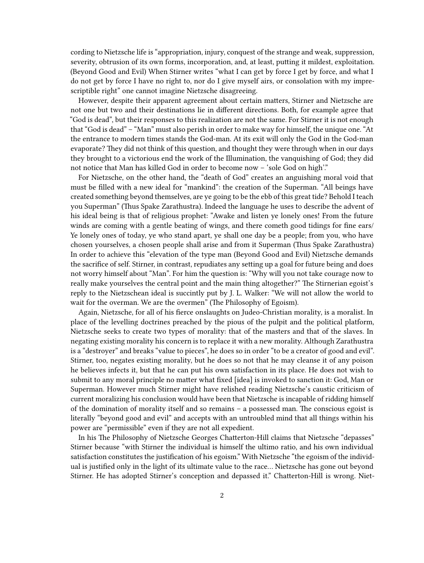cording to Nietzsche life is "appropriation, injury, conquest of the strange and weak, suppression, severity, obtrusion of its own forms, incorporation, and, at least, putting it mildest, exploitation. (Beyond Good and Evil) When Stirner writes "what I can get by force I get by force, and what I do not get by force I have no right to, nor do I give myself airs, or consolation with my imprescriptible right" one cannot imagine Nietzsche disagreeing.

However, despite their apparent agreement about certain matters, Stirner and Nietzsche are not one but two and their destinations lie in different directions. Both, for example agree that "God is dead", but their responses to this realization are not the same. For Stirner it is not enough that "God is dead" – "Man" must also perish in order to make way for himself, the unique one. "At the entrance to modern times stands the God-man. At its exit will only the God in the God-man evaporate? They did not think of this question, and thought they were through when in our days they brought to a victorious end the work of the Illumination, the vanquishing of God; they did not notice that Man has killed God in order to become now – 'sole God on high'."

For Nietzsche, on the other hand, the "death of God" creates an anguishing moral void that must be filled with a new ideal for "mankind": the creation of the Superman. "All beings have created something beyond themselves, are ye going to be the ebb of this great tide? Behold I teach you Superman" (Thus Spake Zarathustra). Indeed the language he uses to describe the advent of his ideal being is that of religious prophet: "Awake and listen ye lonely ones! From the future winds are coming with a gentle beating of wings, and there cometh good tidings for fine ears/ Ye lonely ones of today, ye who stand apart, ye shall one day be a people; from you, who have chosen yourselves, a chosen people shall arise and from it Superman (Thus Spake Zarathustra) In order to achieve this "elevation of the type man (Beyond Good and Evil) Nietzsche demands the sacrifice of self. Stirner, in contrast, repudiates any setting up a goal for future being and does not worry himself about "Man". For him the question is: "Why will you not take courage now to really make yourselves the central point and the main thing altogether?" The Stirnerian egoist's reply to the Nietzschean ideal is succintly put by J. L. Walker: "We will not allow the world to wait for the overman. We are the overmen" (The Philosophy of Egoism).

Again, Nietzsche, for all of his fierce onslaughts on Judeo-Christian morality, is a moralist. In place of the levelling doctrines preached by the pious of the pulpit and the political platform, Nietzsche seeks to create two types of morality: that of the masters and that of the slaves. In negating existing morality his concern is to replace it with a new morality. Although Zarathustra is a "destroyer" and breaks "value to pieces", he does so in order "to be a creator of good and evil". Stirner, too, negates existing morality, but he does so not that he may cleanse it of any poison he believes infects it, but that he can put his own satisfaction in its place. He does not wish to submit to any moral principle no matter what fixed [idea] is invoked to sanction it: God, Man or Superman. However much Stirner might have relished reading Nietzsche's caustic criticism of current moralizing his conclusion would have been that Nietzsche is incapable of ridding himself of the domination of morality itself and so remains – a possessed man. The conscious egoist is literally "beyond good and evil" and accepts with an untroubled mind that all things within his power are "permissible" even if they are not all expedient.

In his The Philosophy of Nietzsche Georges Chatterton-Hill claims that Nietzsche "depasses" Stirner because "with Stirner the individual is himself the ultimo ratio, and his own individual satisfaction constitutes the justification of his egoism." With Nietzsche "the egoism of the individual is justified only in the light of its ultimate value to the race… Nietzsche has gone out beyond Stirner. He has adopted Stirner's conception and depassed it." Chatterton-Hill is wrong. Niet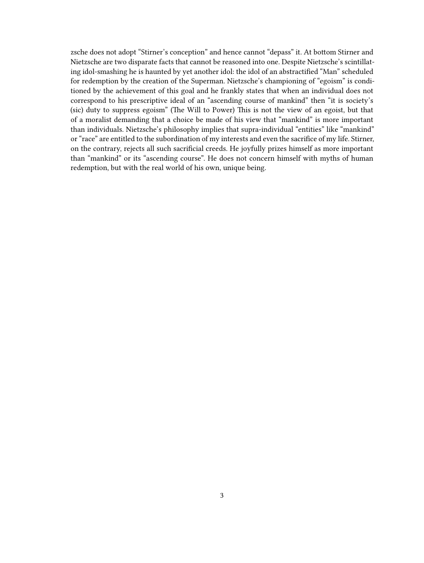zsche does not adopt "Stirner's conception" and hence cannot "depass" it. At bottom Stirner and Nietzsche are two disparate facts that cannot be reasoned into one. Despite Nietzsche's scintillating idol-smashing he is haunted by yet another idol: the idol of an abstractified "Man" scheduled for redemption by the creation of the Superman. Nietzsche's championing of "egoism" is conditioned by the achievement of this goal and he frankly states that when an individual does not correspond to his prescriptive ideal of an "ascending course of mankind" then "it is society's (sic) duty to suppress egoism" (The Will to Power) This is not the view of an egoist, but that of a moralist demanding that a choice be made of his view that "mankind" is more important than individuals. Nietzsche's philosophy implies that supra-individual "entities" like "mankind" or "race" are entitled to the subordination of my interests and even the sacrifice of my life. Stirner, on the contrary, rejects all such sacrificial creeds. He joyfully prizes himself as more important than "mankind" or its "ascending course". He does not concern himself with myths of human redemption, but with the real world of his own, unique being.